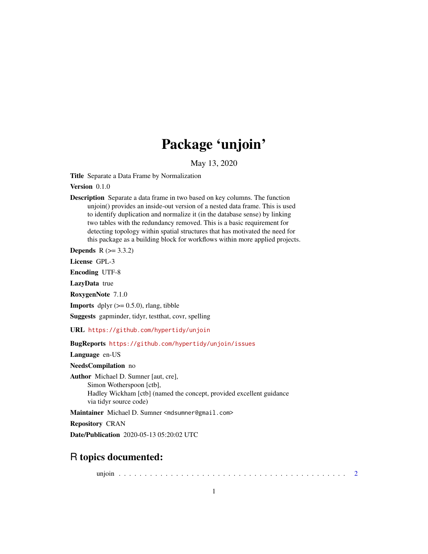## Package 'unjoin'

May 13, 2020

<span id="page-0-0"></span>Title Separate a Data Frame by Normalization

Version 0.1.0

Description Separate a data frame in two based on key columns. The function unjoin() provides an inside-out version of a nested data frame. This is used to identify duplication and normalize it (in the database sense) by linking two tables with the redundancy removed. This is a basic requirement for detecting topology within spatial structures that has motivated the need for this package as a building block for workflows within more applied projects.

**Depends**  $R$  ( $> = 3.3.2$ )

License GPL-3

Encoding UTF-8

LazyData true

RoxygenNote 7.1.0

**Imports** dplyr  $(>= 0.5.0)$ , rlang, tibble

Suggests gapminder, tidyr, testthat, covr, spelling

URL <https://github.com/hypertidy/unjoin>

BugReports <https://github.com/hypertidy/unjoin/issues>

Language en-US

NeedsCompilation no

Author Michael D. Sumner [aut, cre], Simon Wotherspoon [ctb], Hadley Wickham [ctb] (named the concept, provided excellent guidance via tidyr source code)

Maintainer Michael D. Sumner <mdsumner@gmail.com>

Repository CRAN

Date/Publication 2020-05-13 05:20:02 UTC

### R topics documented:

unjoin . . . . . . . . . . . . . . . . . . . . . . . . . . . . . . . . . . . . . . . . . . . . [2](#page-1-0)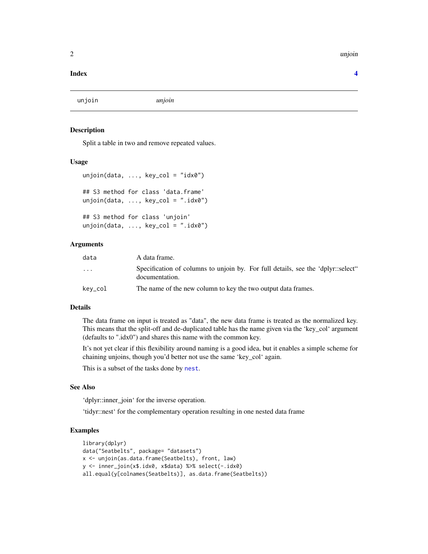#### <span id="page-1-0"></span>2 unjoin the contract of the contract of the contract of the contract of the contract of the contract of the contract of the contract of the contract of the contract of the contract of the contract of the contract of the c

#### **Index** [4](#page-3-0)

unjoin *unjoin*

#### Description

Split a table in two and remove repeated values.

#### Usage

```
unjoin(data, ..., key_col = "idx0")## S3 method for class 'data.frame'
unjoin(data, ..., key_col = ".idx0")## S3 method for class 'unjoin'
unjoin(data, \ldots, key_col = ".idx0")
```
#### Arguments

| data                    | A data frame.                                                                                      |
|-------------------------|----------------------------------------------------------------------------------------------------|
| $\cdot$ $\cdot$ $\cdot$ | Specification of columns to unjoin by. For full details, see the 'dplyr::select"<br>documentation. |
| kev_col                 | The name of the new column to key the two output data frames.                                      |

#### Details

The data frame on input is treated as "data", the new data frame is treated as the normalized key. This means that the split-off and de-duplicated table has the name given via the 'key\_col' argument (defaults to ".idx0") and shares this name with the common key.

It's not yet clear if this flexibility around naming is a good idea, but it enables a simple scheme for chaining unjoins, though you'd better not use the same 'key\_col' again.

This is a subset of the tasks done by [nest](#page-0-0).

#### See Also

'dplyr::inner\_join' for the inverse operation.

'tidyr::nest' for the complementary operation resulting in one nested data frame

#### Examples

```
library(dplyr)
data("Seatbelts", package= "datasets")
x <- unjoin(as.data.frame(Seatbelts), front, law)
y <- inner_join(x$.idx0, x$data) %>% select(-.idx0)
all.equal(y[colnames(Seatbelts)], as.data.frame(Seatbelts))
```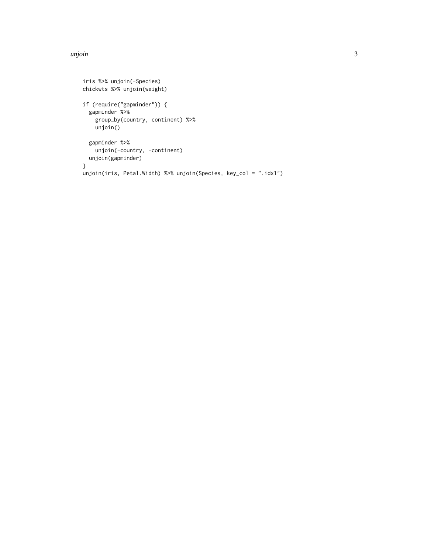#### unjoin 3

```
iris %>% unjoin(-Species)
chickwts %>% unjoin(weight)
if (require("gapminder")) {
  gapminder %>%
    group_by(country, continent) %>%
    unjoin()
  gapminder %>%
    unjoin(-country, -continent)
  unjoin(gapminder)
}
unjoin(iris, Petal.Width) %>% unjoin(Species, key_col = ".idx1")
```